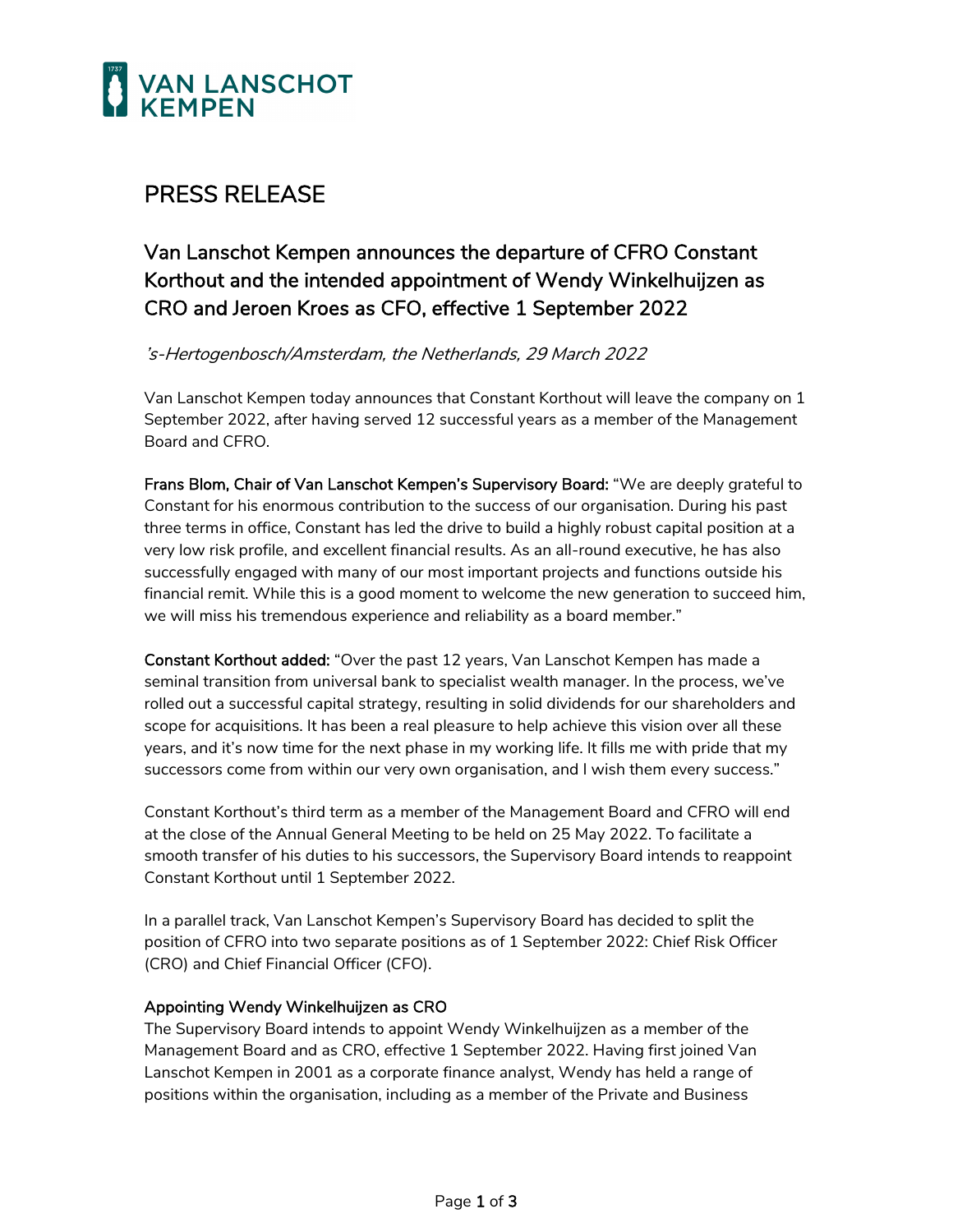

### PRESS RELEASE

Van Lanschot Kempen announces the departure of CFRO Constant Korthout and the intended appointment of Wendy Winkelhuijzen as CRO and Jeroen Kroes as CFO, effective 1 September 2022

's-Hertogenbosch/Amsterdam, the Netherlands, 29 March 2022

Van Lanschot Kempen today announces that Constant Korthout will leave the company on 1 September 2022, after having served 12 successful years as a member of the Management Board and CFRO.

Frans Blom, Chair of Van Lanschot Kempen's Supervisory Board: "We are deeply grateful to Constant for his enormous contribution to the success of our organisation. During his past three terms in office, Constant has led the drive to build a highly robust capital position at a very low risk profile, and excellent financial results. As an all-round executive, he has also successfully engaged with many of our most important projects and functions outside his financial remit. While this is a good moment to welcome the new generation to succeed him, we will miss his tremendous experience and reliability as a board member."

Constant Korthout added: "Over the past 12 years, Van Lanschot Kempen has made a seminal transition from universal bank to specialist wealth manager. In the process, we've rolled out a successful capital strategy, resulting in solid dividends for our shareholders and scope for acquisitions. It has been a real pleasure to help achieve this vision over all these years, and it's now time for the next phase in my working life. It fills me with pride that my successors come from within our very own organisation, and I wish them every success."

Constant Korthout's third term as a member of the Management Board and CFRO will end at the close of the Annual General Meeting to be held on 25 May 2022. To facilitate a smooth transfer of his duties to his successors, the Supervisory Board intends to reappoint Constant Korthout until 1 September 2022.

In a parallel track, Van Lanschot Kempen's Supervisory Board has decided to split the position of CFRO into two separate positions as of 1 September 2022: Chief Risk Officer (CRO) and Chief Financial Officer (CFO).

### Appointing Wendy Winkelhuijzen as CRO

The Supervisory Board intends to appoint Wendy Winkelhuijzen as a member of the Management Board and as CRO, effective 1 September 2022. Having first joined Van Lanschot Kempen in 2001 as a corporate finance analyst, Wendy has held a range of positions within the organisation, including as a member of the Private and Business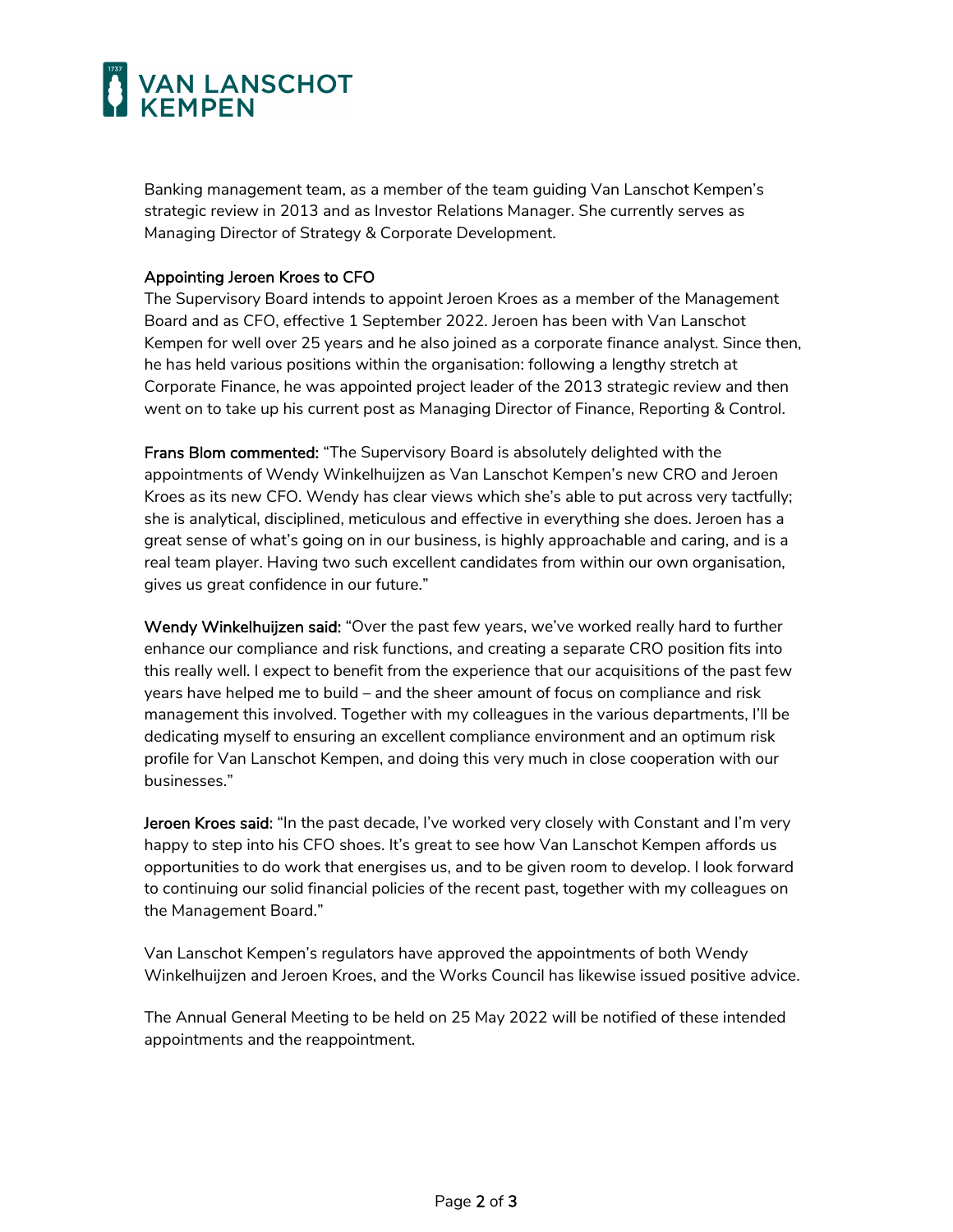# **VAN LANSCHOT**

Banking management team, as a member of the team guiding Van Lanschot Kempen's strategic review in 2013 and as Investor Relations Manager. She currently serves as Managing Director of Strategy & Corporate Development.

#### Appointing Jeroen Kroes to CFO

The Supervisory Board intends to appoint Jeroen Kroes as a member of the Management Board and as CFO, effective 1 September 2022. Jeroen has been with Van Lanschot Kempen for well over 25 years and he also joined as a corporate finance analyst. Since then, he has held various positions within the organisation: following a lengthy stretch at Corporate Finance, he was appointed project leader of the 2013 strategic review and then went on to take up his current post as Managing Director of Finance, Reporting & Control.

Frans Blom commented: "The Supervisory Board is absolutely delighted with the appointments of Wendy Winkelhuijzen as Van Lanschot Kempen's new CRO and Jeroen Kroes as its new CFO. Wendy has clear views which she's able to put across very tactfully; she is analytical, disciplined, meticulous and effective in everything she does. Jeroen has a great sense of what's going on in our business, is highly approachable and caring, and is a real team player. Having two such excellent candidates from within our own organisation, gives us great confidence in our future."

Wendy Winkelhuijzen said: "Over the past few years, we've worked really hard to further enhance our compliance and risk functions, and creating a separate CRO position fits into this really well. I expect to benefit from the experience that our acquisitions of the past few years have helped me to build – and the sheer amount of focus on compliance and risk management this involved. Together with my colleagues in the various departments, I'll be dedicating myself to ensuring an excellent compliance environment and an optimum risk profile for Van Lanschot Kempen, and doing this very much in close cooperation with our businesses."

Jeroen Kroes said: "In the past decade, I've worked very closely with Constant and I'm very happy to step into his CFO shoes. It's great to see how Van Lanschot Kempen affords us opportunities to do work that energises us, and to be given room to develop. I look forward to continuing our solid financial policies of the recent past, together with my colleagues on the Management Board."

Van Lanschot Kempen's regulators have approved the appointments of both Wendy Winkelhuijzen and Jeroen Kroes, and the Works Council has likewise issued positive advice.

The Annual General Meeting to be held on 25 May 2022 will be notified of these intended appointments and the reappointment.